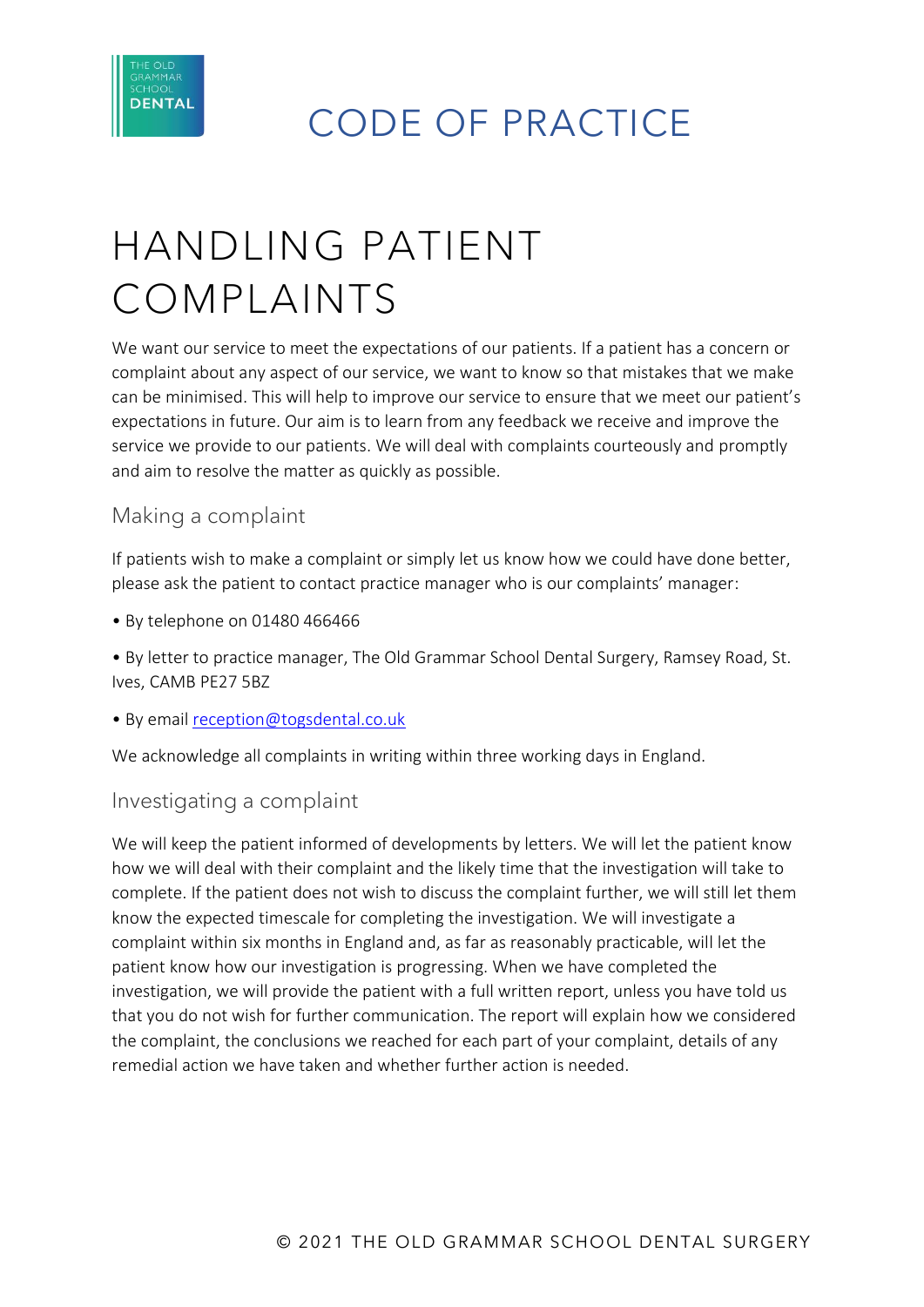

CODE OF PRACTICE

# HANDLING PATIENT COMPLAINTS

We want our service to meet the expectations of our patients. If a patient has a concern or complaint about any aspect of our service, we want to know so that mistakes that we make can be minimised. This will help to improve our service to ensure that we meet our patient's expectations in future. Our aim is to learn from any feedback we receive and improve the service we provide to our patients. We will deal with complaints courteously and promptly and aim to resolve the matter as quickly as possible.

## Making a complaint

If patients wish to make a complaint or simply let us know how we could have done better, please ask the patient to contact practice manager who is our complaints' manager:

• By telephone on 01480 466466

• By letter to practice manager, The Old Grammar School Dental Surgery, Ramsey Road, St. Ives, CAMB PE27 5BZ

• By email [reception@togsdental.co.uk](mailto:reception@togsdental.co.uk)

We acknowledge all complaints in writing within three working days in England.

#### Investigating a complaint

We will keep the patient informed of developments by letters. We will let the patient know how we will deal with their complaint and the likely time that the investigation will take to complete. If the patient does not wish to discuss the complaint further, we will still let them know the expected timescale for completing the investigation. We will investigate a complaint within six months in England and, as far as reasonably practicable, will let the patient know how our investigation is progressing. When we have completed the investigation, we will provide the patient with a full written report, unless you have told us that you do not wish for further communication. The report will explain how we considered the complaint, the conclusions we reached for each part of your complaint, details of any remedial action we have taken and whether further action is needed.